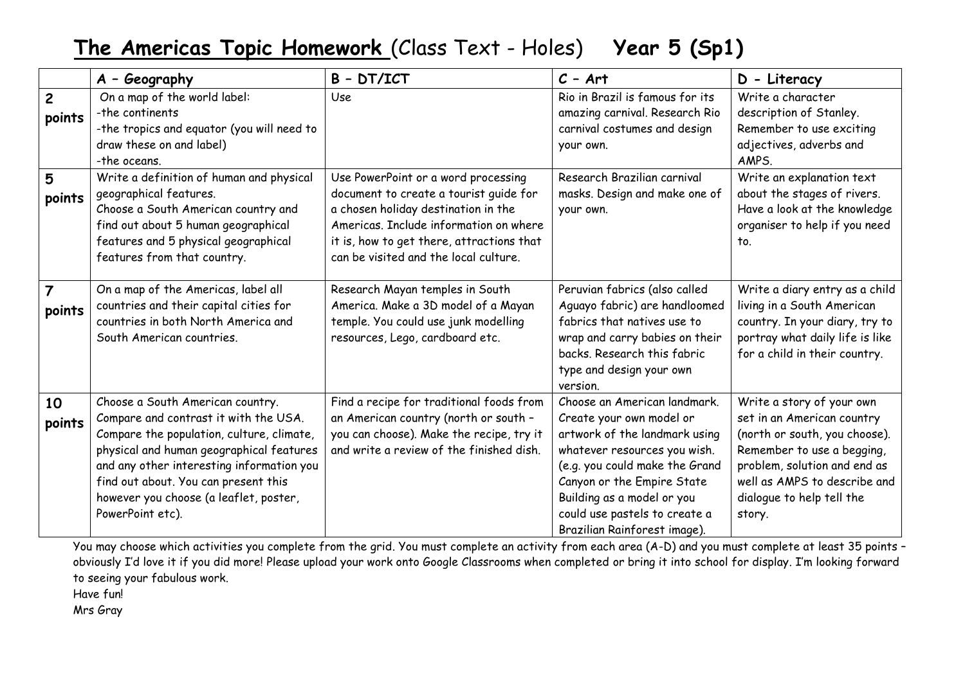## **The Americas Topic Homework** (Class Text - Holes) **Year 5 (Sp1)**

|                          | A - Geography                                                                                                                                                                                                                                                                                                         | $B - DT/ICT$                                                                                                                                                                                                                                         | $C - Art$                                                                                                                                                                                                                                                                                | D - Literacy                                                                                                                                                                                                                  |
|--------------------------|-----------------------------------------------------------------------------------------------------------------------------------------------------------------------------------------------------------------------------------------------------------------------------------------------------------------------|------------------------------------------------------------------------------------------------------------------------------------------------------------------------------------------------------------------------------------------------------|------------------------------------------------------------------------------------------------------------------------------------------------------------------------------------------------------------------------------------------------------------------------------------------|-------------------------------------------------------------------------------------------------------------------------------------------------------------------------------------------------------------------------------|
| $\overline{2}$<br>points | On a map of the world label:<br>-the continents<br>-the tropics and equator (you will need to<br>draw these on and label)<br>-the oceans.                                                                                                                                                                             | Use                                                                                                                                                                                                                                                  | Rio in Brazil is famous for its<br>amazing carnival. Research Rio<br>carnival costumes and design<br>your own.                                                                                                                                                                           | Write a character<br>description of Stanley.<br>Remember to use exciting<br>adjectives, adverbs and<br>AMPS.                                                                                                                  |
| 5<br>points              | Write a definition of human and physical<br>geographical features.<br>Choose a South American country and<br>find out about 5 human geographical<br>features and 5 physical geographical<br>features from that country.                                                                                               | Use PowerPoint or a word processing<br>document to create a tourist quide for<br>a chosen holiday destination in the<br>Americas. Include information on where<br>it is, how to get there, attractions that<br>can be visited and the local culture. | Research Brazilian carnival<br>masks. Design and make one of<br>your own.                                                                                                                                                                                                                | Write an explanation text<br>about the stages of rivers.<br>Have a look at the knowledge<br>organiser to help if you need<br>to.                                                                                              |
| 7<br>points              | On a map of the Americas, label all<br>countries and their capital cities for<br>countries in both North America and<br>South American countries.                                                                                                                                                                     | Research Mayan temples in South<br>America. Make a 3D model of a Mayan<br>temple. You could use junk modelling<br>resources, Lego, cardboard etc.                                                                                                    | Peruvian fabrics (also called<br>Aguayo fabric) are handloomed<br>fabrics that natives use to<br>wrap and carry babies on their<br>backs. Research this fabric<br>type and design your own<br>version.                                                                                   | Write a diary entry as a child<br>living in a South American<br>country. In your diary, try to<br>portray what daily life is like<br>for a child in their country.                                                            |
| 10<br>points             | Choose a South American country.<br>Compare and contrast it with the USA.<br>Compare the population, culture, climate,<br>physical and human geographical features<br>and any other interesting information you<br>find out about. You can present this<br>however you choose (a leaflet, poster,<br>PowerPoint etc). | Find a recipe for traditional foods from<br>an American country (north or south -<br>you can choose). Make the recipe, try it<br>and write a review of the finished dish.                                                                            | Choose an American landmark.<br>Create your own model or<br>artwork of the landmark using<br>whatever resources you wish.<br>(e.g. you could make the Grand<br>Canyon or the Empire State<br>Building as a model or you<br>could use pastels to create a<br>Brazilian Rainforest image). | Write a story of your own<br>set in an American country<br>(north or south, you choose).<br>Remember to use a begging,<br>problem, solution and end as<br>well as AMPS to describe and<br>dialogue to help tell the<br>story. |

You may choose which activities you complete from the grid. You must complete an activity from each area (A-D) and you must complete at least 35 points obviously I'd love it if you did more! Please upload your work onto Google Classrooms when completed or bring it into school for display. I'm looking forward to seeing your fabulous work.

Have fun!

Mrs Gray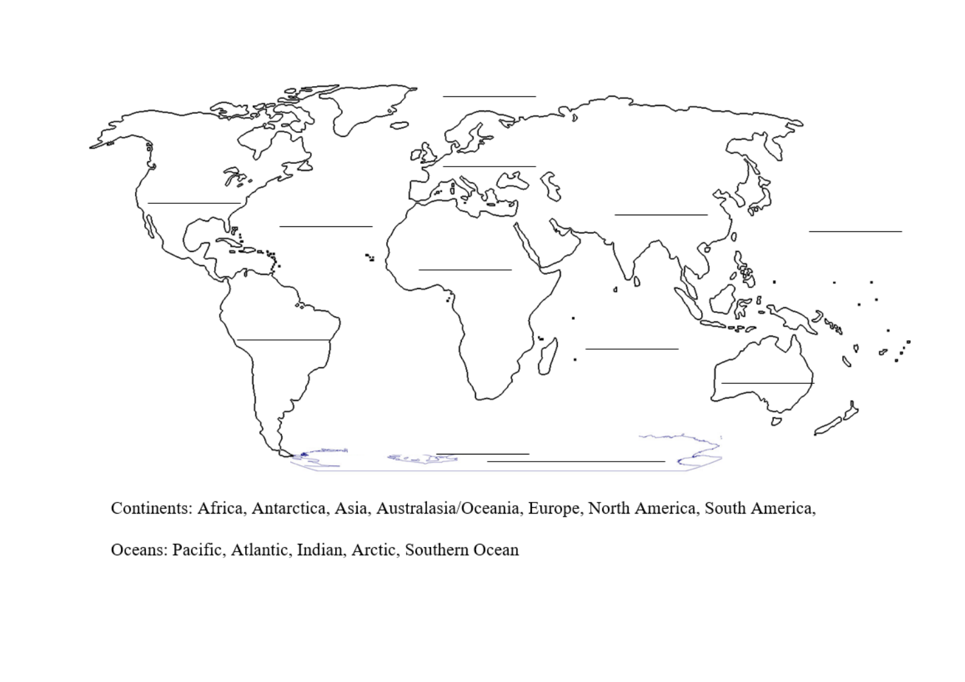

Continents: Africa, Antarctica, Asia, Australasia/Oceania, Europe, North America, South America,

Oceans: Pacific, Atlantic, Indian, Arctic, Southern Ocean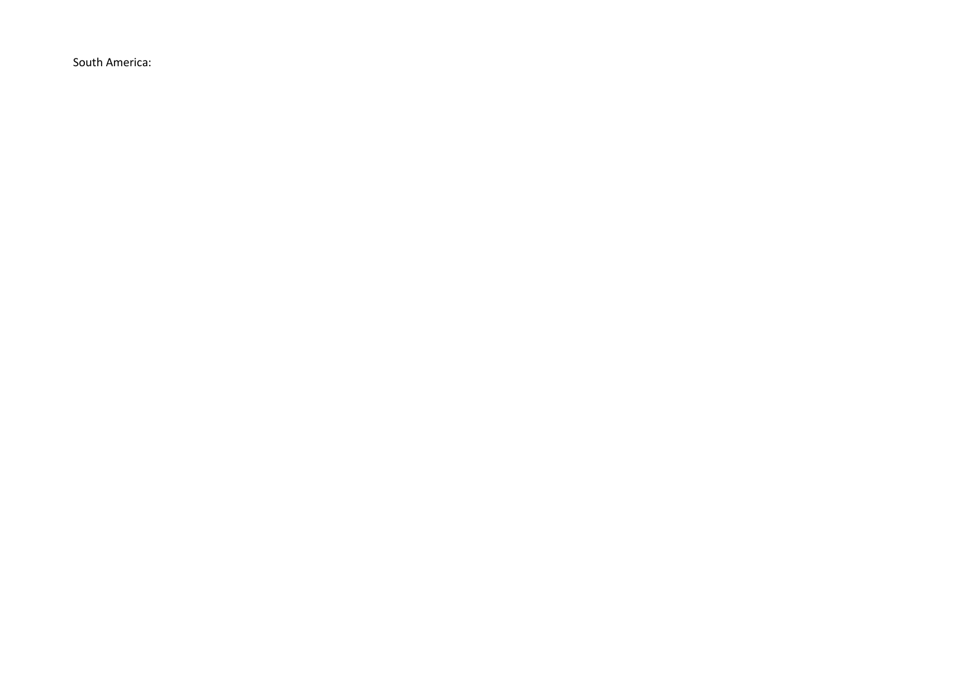South America: